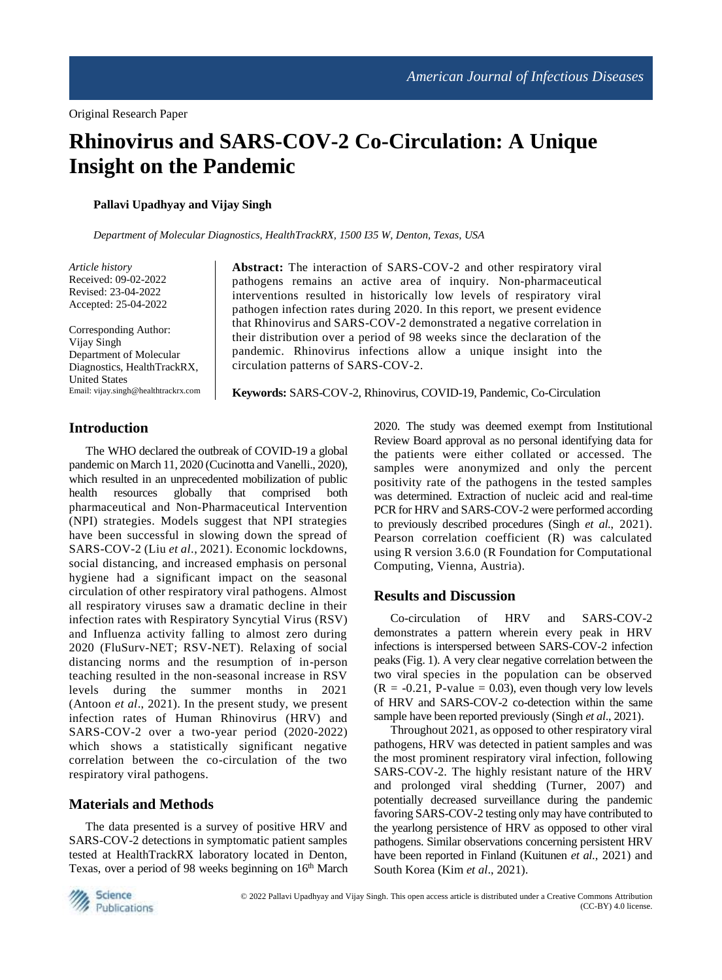# **Rhinovirus and SARS-COV-2 Co-Circulation: A Unique Insight on the Pandemic**

**Pallavi Upadhyay and Vijay Singh**

*Department of Molecular Diagnostics, HealthTrackRX, 1500 I35 W, Denton, Texas, USA*

*Article history* Received: 09-02-2022 Revised: 23-04-2022 Accepted: 25-04-2022

Corresponding Author: Vijay Singh Department of Molecular Diagnostics, HealthTrackRX, United States Email: vijay.singh@healthtrackrx.com **Abstract:** The interaction of SARS-COV-2 and other respiratory viral pathogens remains an active area of inquiry. Non-pharmaceutical interventions resulted in historically low levels of respiratory viral pathogen infection rates during 2020. In this report, we present evidence that Rhinovirus and SARS-COV-2 demonstrated a negative correlation in their distribution over a period of 98 weeks since the declaration of the pandemic. Rhinovirus infections allow a unique insight into the circulation patterns of SARS-COV-2.

**Keywords:** SARS-COV-2, Rhinovirus, COVID-19, Pandemic, Co-Circulation

# **Introduction**

The WHO declared the outbreak of COVID-19 a global pandemic on March 11, 2020 (Cucinotta and Vanelli., 2020), which resulted in an unprecedented mobilization of public health resources globally that comprised both pharmaceutical and Non-Pharmaceutical Intervention (NPI) strategies. Models suggest that NPI strategies have been successful in slowing down the spread of SARS-COV-2 (Liu *et al*., 2021). Economic lockdowns, social distancing, and increased emphasis on personal hygiene had a significant impact on the seasonal circulation of other respiratory viral pathogens. Almost all respiratory viruses saw a dramatic decline in their infection rates with Respiratory Syncytial Virus (RSV) and Influenza activity falling to almost zero during 2020 (FluSurv-NET; RSV-NET). Relaxing of social distancing norms and the resumption of in-person teaching resulted in the non-seasonal increase in RSV levels during the summer months in 2021 (Antoon *et al*., 2021). In the present study, we present infection rates of Human Rhinovirus (HRV) and SARS-COV-2 over a two-year period (2020-2022) which shows a statistically significant negative correlation between the co-circulation of the two respiratory viral pathogens.

# **Materials and Methods**

The data presented is a survey of positive HRV and SARS-COV-2 detections in symptomatic patient samples tested at HealthTrackRX laboratory located in Denton, Texas, over a period of 98 weeks beginning on 16th March 2020. The study was deemed exempt from Institutional Review Board approval as no personal identifying data for the patients were either collated or accessed. The samples were anonymized and only the percent positivity rate of the pathogens in the tested samples was determined. Extraction of nucleic acid and real-time PCR for HRV and SARS-COV-2 were performed according to previously described procedures (Singh *et al*., 2021). Pearson correlation coefficient (R) was calculated using R version 3.6.0 (R Foundation for Computational Computing, Vienna, Austria).

## **Results and Discussion**

Co-circulation of HRV and SARS-COV-2 demonstrates a pattern wherein every peak in HRV infections is interspersed between SARS-COV-2 infection peaks (Fig. 1). A very clear negative correlation between the two viral species in the population can be observed  $(R = -0.21, P-value = 0.03)$ , even though very low levels of HRV and SARS-COV-2 co-detection within the same sample have been reported previously (Singh *et al*., 2021).

Throughout 2021, as opposed to other respiratory viral pathogens, HRV was detected in patient samples and was the most prominent respiratory viral infection, following SARS-COV-2. The highly resistant nature of the HRV and prolonged viral shedding (Turner, 2007) and potentially decreased surveillance during the pandemic favoring SARS-COV-2 testing only may have contributed to the yearlong persistence of HRV as opposed to other viral pathogens. Similar observations concerning persistent HRV have been reported in Finland (Kuitunen *et al*., 2021) and South Korea (Kim *et al*., 2021).

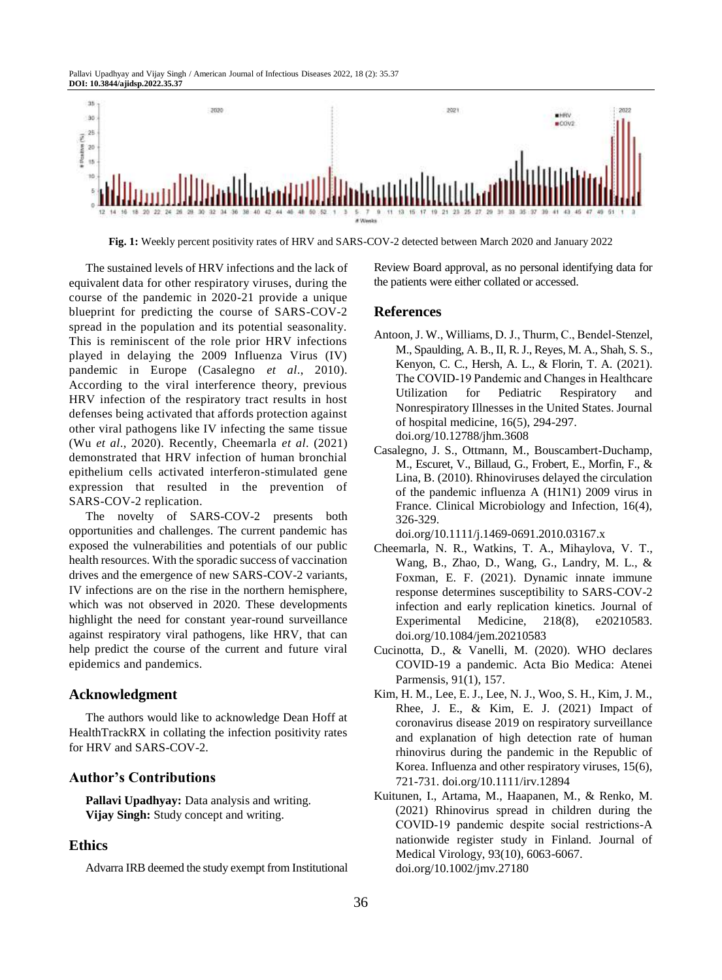Pallavi Upadhyay and Vijay Singh / American Journal of Infectious Diseases 2022, 18 (2): 35.37 **DOI: 10.3844/ajidsp.2022.35.37**



**Fig. 1:** Weekly percent positivity rates of HRV and SARS-COV-2 detected between March 2020 and January 2022

The sustained levels of HRV infections and the lack of equivalent data for other respiratory viruses, during the course of the pandemic in 2020-21 provide a unique blueprint for predicting the course of SARS-COV-2 spread in the population and its potential seasonality. This is reminiscent of the role prior HRV infections played in delaying the 2009 Influenza Virus (IV) pandemic in Europe (Casalegno *et al*., 2010). According to the viral interference theory, previous HRV infection of the respiratory tract results in host defenses being activated that affords protection against other viral pathogens like IV infecting the same tissue (Wu *et al*., 2020). Recently, Cheemarla *et al*. (2021) demonstrated that HRV infection of human bronchial epithelium cells activated interferon-stimulated gene expression that resulted in the prevention of SARS-COV-2 replication.

The novelty of SARS-COV-2 presents both opportunities and challenges. The current pandemic has exposed the vulnerabilities and potentials of our public health resources. With the sporadic success of vaccination drives and the emergence of new SARS-COV-2 variants, IV infections are on the rise in the northern hemisphere, which was not observed in 2020. These developments highlight the need for constant year-round surveillance against respiratory viral pathogens, like HRV, that can help predict the course of the current and future viral epidemics and pandemics.

#### **Acknowledgment**

The authors would like to acknowledge Dean Hoff at HealthTrackRX in collating the infection positivity rates for HRV and SARS-COV-2.

## **Author's Contributions**

**Pallavi Upadhyay:** Data analysis and writing. **Vijay Singh:** Study concept and writing.

#### **Ethics**

Advarra IRB deemed the study exempt from Institutional

Review Board approval, as no personal identifying data for the patients were either collated or accessed.

#### **References**

- Antoon, J. W., Williams, D. J., Thurm, C., Bendel‐Stenzel, M., Spaulding, A. B., II, R. J., Reyes, M. A., Shah, S. S., Kenyon, C. C., Hersh, A. L., & Florin, T. A. (2021). The COVID‐19 Pandemic and Changes in Healthcare Utilization for Pediatric Respiratory and Nonrespiratory Illnesses in the United States. Journal of hospital medicine, 16(5), 294-297. doi.org/10.12788/jhm.3608
- Casalegno, J. S., Ottmann, M., Bouscambert-Duchamp, M., Escuret, V., Billaud, G., Frobert, E., Morfin, F., & Lina, B. (2010). Rhinoviruses delayed the circulation of the pandemic influenza A (H1N1) 2009 virus in France. Clinical Microbiology and Infection, 16(4), 326-329.

doi.org/10.1111/j.1469-0691.2010.03167.x

- Cheemarla, N. R., Watkins, T. A., Mihaylova, V. T., Wang, B., Zhao, D., Wang, G., Landry, M. L., & Foxman, E. F. (2021). Dynamic innate immune response determines susceptibility to SARS-COV-2 infection and early replication kinetics. Journal of Experimental Medicine, 218(8), e20210583. doi.org/10.1084/jem.20210583
- Cucinotta, D., & Vanelli, M. (2020). WHO declares COVID-19 a pandemic. Acta Bio Medica: Atenei Parmensis, 91(1), 157.
- Kim, H. M., Lee, E. J., Lee, N. J., Woo, S. H., Kim, J. M., Rhee, J. E., & Kim, E. J. (2021) Impact of coronavirus disease 2019 on respiratory surveillance and explanation of high detection rate of human rhinovirus during the pandemic in the Republic of Korea. Influenza and other respiratory viruses, 15(6), 721-731. doi.org/10.1111/irv.12894
- Kuitunen, I., Artama, M., Haapanen, M., & Renko, M. (2021) Rhinovirus spread in children during the COVID‐19 pandemic despite social restrictions-A nationwide register study in Finland. Journal of Medical Virology, 93(10), 6063-6067. doi.org/10.1002/jmv.27180